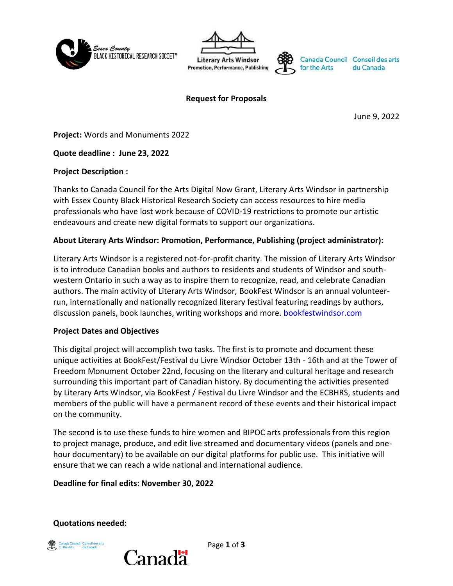





**Request for Proposals**

June 9, 2022

**Project:** Words and Monuments 2022

**Quote deadline : June 23, 2022**

## **Project Description :**

Thanks to Canada Council for the Arts Digital Now Grant, Literary Arts Windsor in partnership with Essex County Black Historical Research Society can access resources to hire media professionals who have lost work because of COVID-19 restrictions to promote our artistic endeavours and create new digital formats to support our organizations.

## **About Literary Arts Windsor: Promotion, Performance, Publishing (project administrator):**

Literary Arts Windsor is a registered not-for-profit charity. The mission of Literary Arts Windsor is to introduce Canadian books and authors to residents and students of Windsor and southwestern Ontario in such a way as to inspire them to recognize, read, and celebrate Canadian authors. The main activity of Literary Arts Windsor, BookFest Windsor is an annual volunteerrun, internationally and nationally recognized literary festival featuring readings by authors, discussion panels, book launches, writing workshops and more. **bookfestwindsor.com** 

### **Project Dates and Objectives**

This digital project will accomplish two tasks. The first is to promote and document these unique activities at BookFest/Festival du Livre Windsor October 13th - 16th and at the Tower of Freedom Monument October 22nd, focusing on the literary and cultural heritage and research surrounding this important part of Canadian history. By documenting the activities presented by Literary Arts Windsor, via BookFest / Festival du Livre Windsor and the ECBHRS, students and members of the public will have a permanent record of these events and their historical impact on the community.

The second is to use these funds to hire women and BIPOC arts professionals from this region to project manage, produce, and edit live streamed and documentary videos (panels and onehour documentary) to be available on our digital platforms for public use. This initiative will ensure that we can reach a wide national and international audience.

**Deadline for final edits: November 30, 2022**

**Quotations needed:**



Page **1** of **3**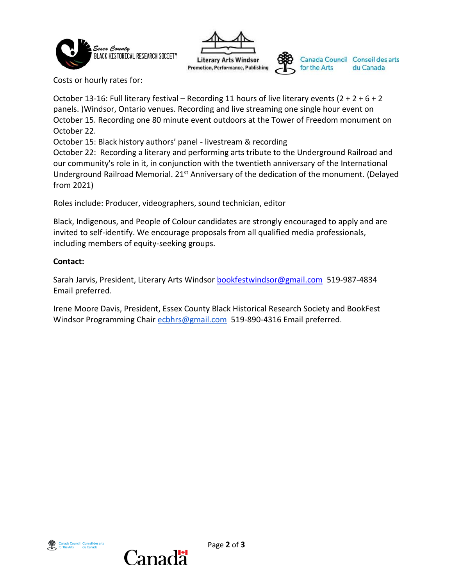



Canada Council Conseil des arts for the Arts

Costs or hourly rates for:

October 13-16: Full literary festival – Recording 11 hours of live literary events  $(2 + 2 + 6 + 2)$ panels. )Windsor, Ontario venues. Recording and live streaming one single hour event on October 15. Recording one 80 minute event outdoors at the Tower of Freedom monument on October 22.

October 15: Black history authors' panel - livestream & recording

October 22: Recording a literary and performing arts tribute to the Underground Railroad and our community's role in it, in conjunction with the twentieth anniversary of the International Underground Railroad Memorial. 21<sup>st</sup> Anniversary of the dedication of the monument. (Delayed from 2021)

Roles include: Producer, videographers, sound technician, editor

Black, Indigenous, and People of Colour candidates are strongly encouraged to apply and are invited to self-identify. We encourage proposals from all qualified media professionals, including members of equity-seeking groups.

## **Contact:**

Sarah Jarvis, President, Literary Arts Windsor [bookfestwindsor@gmail.com](mailto:bookfestwindsor@gmail.com) 519-987-4834 Email preferred.

Irene Moore Davis, President, Essex County Black Historical Research Society and BookFest Windsor Programming Chair [ecbhrs@gmail.com](mailto:ecbhrs@gmail.com) 519-890-4316 Email preferred.